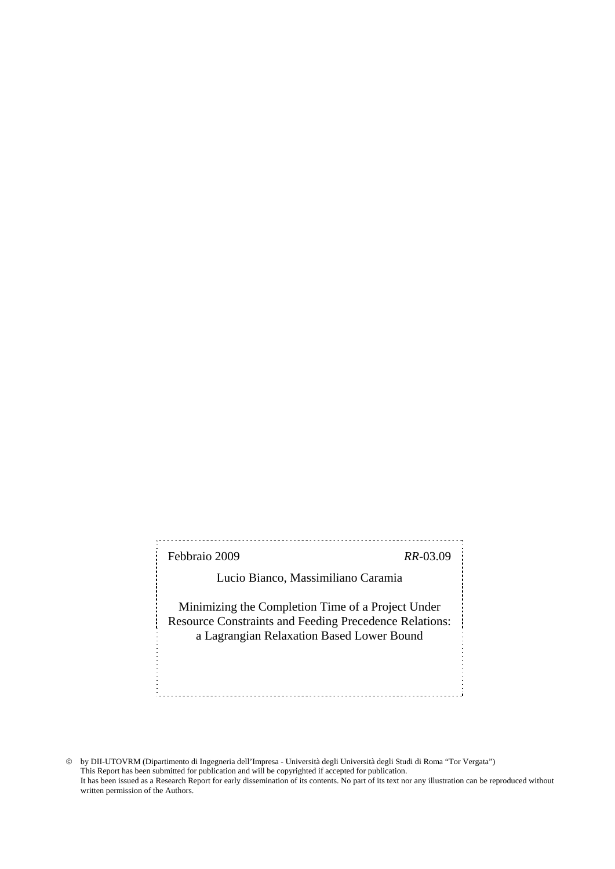Febbraio 2009 *RR*-03.09

Lucio Bianco, Massimiliano Caramia

Minimizing the Completion Time of a Project Under Resource Constraints and Feeding Precedence Relations: a Lagrangian Relaxation Based Lower Bound

© by DII-UTOVRM (Dipartimento di Ingegneria dell'Impresa - Università degli Università degli Studi di Roma "Tor Vergata") This Report has been submitted for publication and will be copyrighted if accepted for publication. It has been issued as a Research Report for early dissemination of its contents. No part of its text nor any illustration can be reproduced without written permission of the Authors.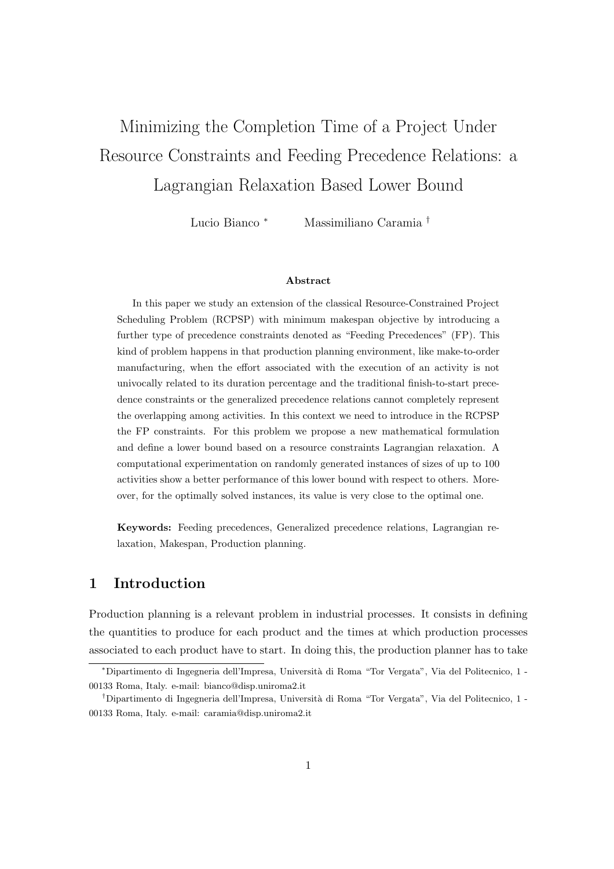# Minimizing the Completion Time of a Project Under Resource Constraints and Feeding Precedence Relations: a Lagrangian Relaxation Based Lower Bound

Lucio Bianco <sup>∗</sup> Massimiliano Caramia †

#### Abstract

In this paper we study an extension of the classical Resource-Constrained Project Scheduling Problem (RCPSP) with minimum makespan objective by introducing a further type of precedence constraints denoted as "Feeding Precedences" (FP). This kind of problem happens in that production planning environment, like make-to-order manufacturing, when the effort associated with the execution of an activity is not univocally related to its duration percentage and the traditional finish-to-start precedence constraints or the generalized precedence relations cannot completely represent the overlapping among activities. In this context we need to introduce in the RCPSP the FP constraints. For this problem we propose a new mathematical formulation and define a lower bound based on a resource constraints Lagrangian relaxation. A computational experimentation on randomly generated instances of sizes of up to 100 activities show a better performance of this lower bound with respect to others. Moreover, for the optimally solved instances, its value is very close to the optimal one.

Keywords: Feeding precedences, Generalized precedence relations, Lagrangian relaxation, Makespan, Production planning.

# 1 Introduction

Production planning is a relevant problem in industrial processes. It consists in defining the quantities to produce for each product and the times at which production processes associated to each product have to start. In doing this, the production planner has to take

<sup>∗</sup>Dipartimento di Ingegneria dell'Impresa, Universit`a di Roma "Tor Vergata", Via del Politecnico, 1 - 00133 Roma, Italy. e-mail: bianco@disp.uniroma2.it

<sup>&</sup>lt;sup>†</sup>Dipartimento di Ingegneria dell'Impresa, Università di Roma "Tor Vergata", Via del Politecnico, 1 -00133 Roma, Italy. e-mail: caramia@disp.uniroma2.it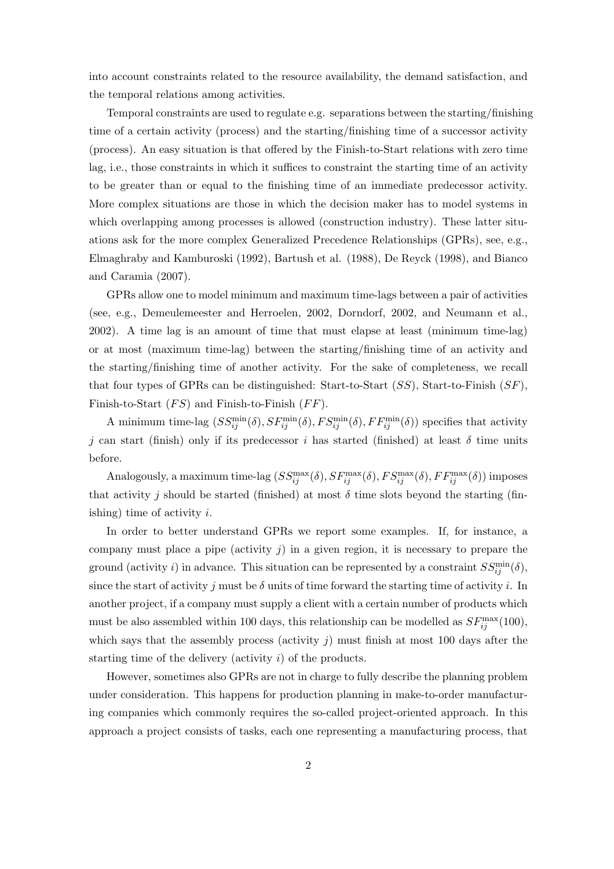into account constraints related to the resource availability, the demand satisfaction, and the temporal relations among activities.

Temporal constraints are used to regulate e.g. separations between the starting/finishing time of a certain activity (process) and the starting/finishing time of a successor activity (process). An easy situation is that offered by the Finish-to-Start relations with zero time lag, i.e., those constraints in which it suffices to constraint the starting time of an activity to be greater than or equal to the finishing time of an immediate predecessor activity. More complex situations are those in which the decision maker has to model systems in which overlapping among processes is allowed (construction industry). These latter situations ask for the more complex Generalized Precedence Relationships (GPRs), see, e.g., Elmaghraby and Kamburoski (1992), Bartush et al. (1988), De Reyck (1998), and Bianco and Caramia (2007).

GPRs allow one to model minimum and maximum time-lags between a pair of activities (see, e.g., Demeulemeester and Herroelen, 2002, Dorndorf, 2002, and Neumann et al., 2002). A time lag is an amount of time that must elapse at least (minimum time-lag) or at most (maximum time-lag) between the starting/finishing time of an activity and the starting/finishing time of another activity. For the sake of completeness, we recall that four types of GPRs can be distinguished: Start-to-Start  $(SS)$ , Start-to-Finish  $(SF)$ , Finish-to-Start  $(FS)$  and Finish-to-Finish  $(FF)$ .

A minimum time-lag  $(SS_{ij}^{min}(\delta), SF_{ij}^{min}(\delta), FS_{ij}^{min}(\delta), FF_{ij}^{min}(\delta))$  specifies that activity j can start (finish) only if its predecessor i has started (finished) at least  $\delta$  time units before.

Analogously, a maximum time-lag  $(SS_{ij}^{\max}(\delta), SF_{ij}^{\max}(\delta), FS_{ij}^{\max}(\delta), FF_{ij}^{\max}(\delta))$  imposes that activity j should be started (finished) at most  $\delta$  time slots beyond the starting (finishing) time of activity  $i$ .

In order to better understand GPRs we report some examples. If, for instance, a company must place a pipe (activity  $j$ ) in a given region, it is necessary to prepare the ground (activity i) in advance. This situation can be represented by a constraint  $SS_{ij}^{\min}(\delta)$ , since the start of activity j must be  $\delta$  units of time forward the starting time of activity i. In another project, if a company must supply a client with a certain number of products which must be also assembled within 100 days, this relationship can be modelled as  $SF_{ij}^{\text{max}}(100)$ , which says that the assembly process (activity  $j$ ) must finish at most 100 days after the starting time of the delivery (activity i) of the products.

However, sometimes also GPRs are not in charge to fully describe the planning problem under consideration. This happens for production planning in make-to-order manufacturing companies which commonly requires the so-called project-oriented approach. In this approach a project consists of tasks, each one representing a manufacturing process, that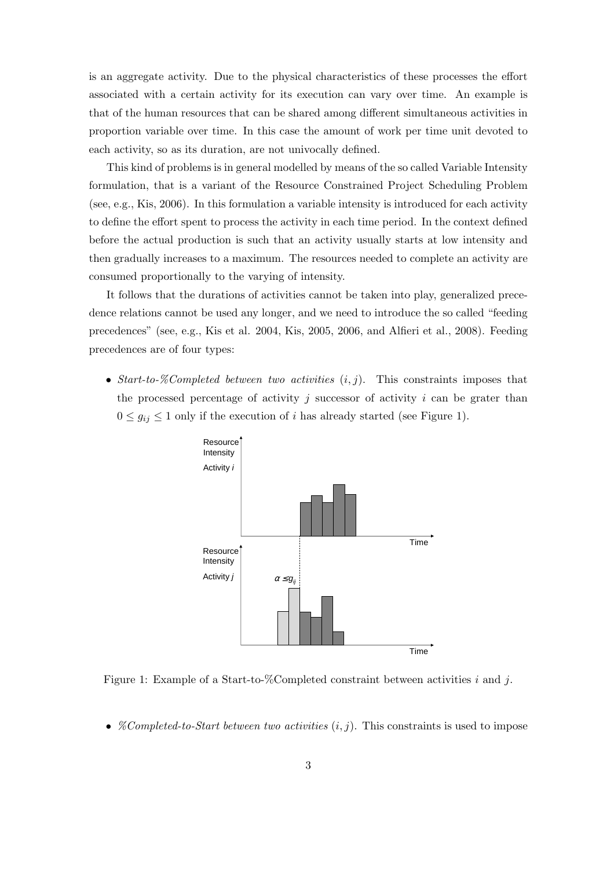is an aggregate activity. Due to the physical characteristics of these processes the effort associated with a certain activity for its execution can vary over time. An example is that of the human resources that can be shared among different simultaneous activities in proportion variable over time. In this case the amount of work per time unit devoted to each activity, so as its duration, are not univocally defined.

This kind of problems is in general modelled by means of the so called Variable Intensity formulation, that is a variant of the Resource Constrained Project Scheduling Problem (see, e.g., Kis, 2006). In this formulation a variable intensity is introduced for each activity to define the effort spent to process the activity in each time period. In the context defined before the actual production is such that an activity usually starts at low intensity and then gradually increases to a maximum. The resources needed to complete an activity are consumed proportionally to the varying of intensity.

It follows that the durations of activities cannot be taken into play, generalized precedence relations cannot be used any longer, and we need to introduce the so called "feeding precedences" (see, e.g., Kis et al. 2004, Kis, 2005, 2006, and Alfieri et al., 2008). Feeding precedences are of four types:

• Start-to-%Completed between two activities  $(i, j)$ . This constraints imposes that the processed percentage of activity j successor of activity i can be grater than  $0 \le g_{ij} \le 1$  only if the execution of i has already started (see Figure 1).



Figure 1: Example of a Start-to-%Completed constraint between activities i and j.

• *%Completed-to-Start between two activities*  $(i, j)$ . This constraints is used to impose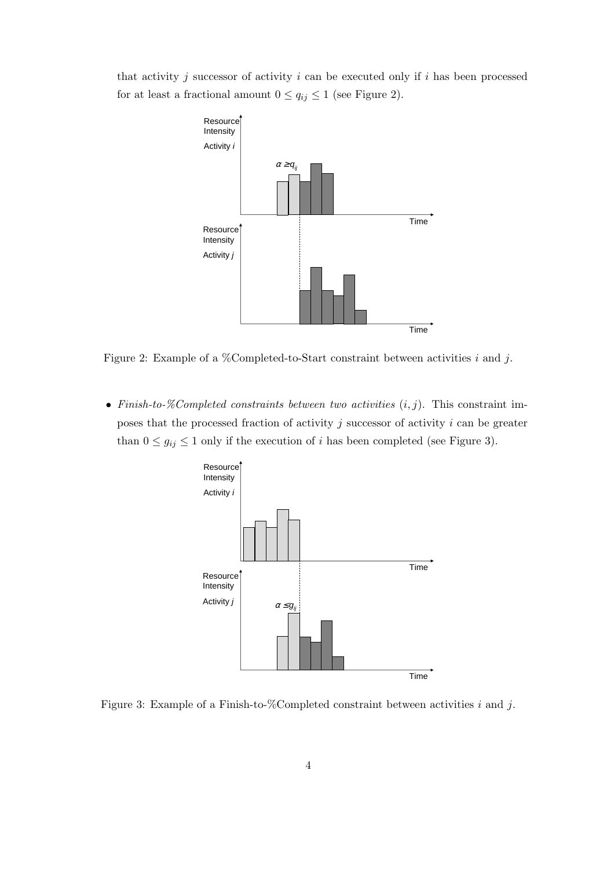that activity j successor of activity  $i$  can be executed only if  $i$  has been processed for at least a fractional amount  $0 \le q_{ij} \le 1$  (see Figure 2).



Figure 2: Example of a %Completed-to-Start constraint between activities i and j.

• Finish-to-%Completed constraints between two activities  $(i, j)$ . This constraint imposes that the processed fraction of activity  $j$  successor of activity  $i$  can be greater than  $0 \le g_{ij} \le 1$  only if the execution of *i* has been completed (see Figure 3).



Figure 3: Example of a Finish-to-%Completed constraint between activities  $i$  and  $j$ .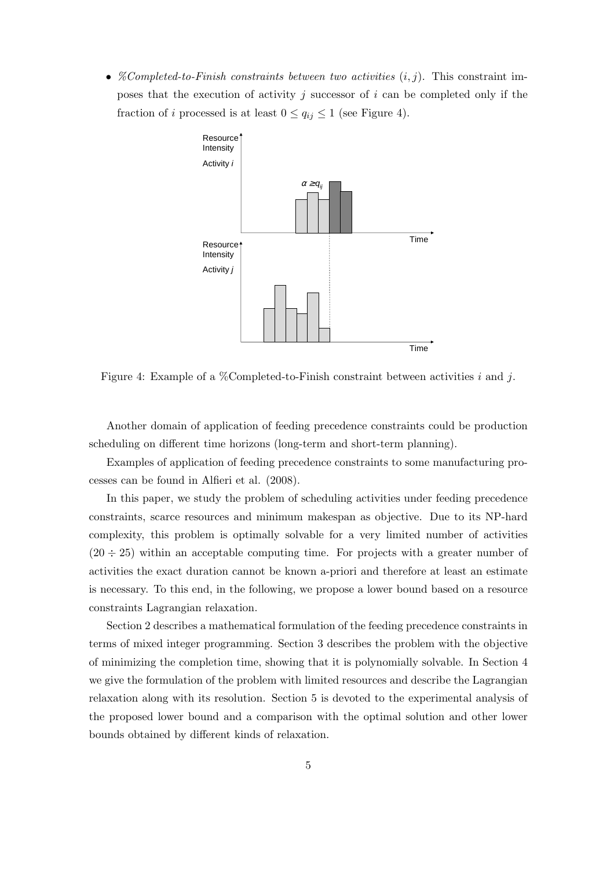• *%Completed-to-Finish constraints between two activities*  $(i, j)$ . This constraint imposes that the execution of activity  $j$  successor of  $i$  can be completed only if the fraction of *i* processed is at least  $0 \le q_{ij} \le 1$  (see Figure 4).



Figure 4: Example of a %Completed-to-Finish constraint between activities i and j.

Another domain of application of feeding precedence constraints could be production scheduling on different time horizons (long-term and short-term planning).

Examples of application of feeding precedence constraints to some manufacturing processes can be found in Alfieri et al. (2008).

In this paper, we study the problem of scheduling activities under feeding precedence constraints, scarce resources and minimum makespan as objective. Due to its NP-hard complexity, this problem is optimally solvable for a very limited number of activities  $(20 \div 25)$  within an acceptable computing time. For projects with a greater number of activities the exact duration cannot be known a-priori and therefore at least an estimate is necessary. To this end, in the following, we propose a lower bound based on a resource constraints Lagrangian relaxation.

Section 2 describes a mathematical formulation of the feeding precedence constraints in terms of mixed integer programming. Section 3 describes the problem with the objective of minimizing the completion time, showing that it is polynomially solvable. In Section 4 we give the formulation of the problem with limited resources and describe the Lagrangian relaxation along with its resolution. Section 5 is devoted to the experimental analysis of the proposed lower bound and a comparison with the optimal solution and other lower bounds obtained by different kinds of relaxation.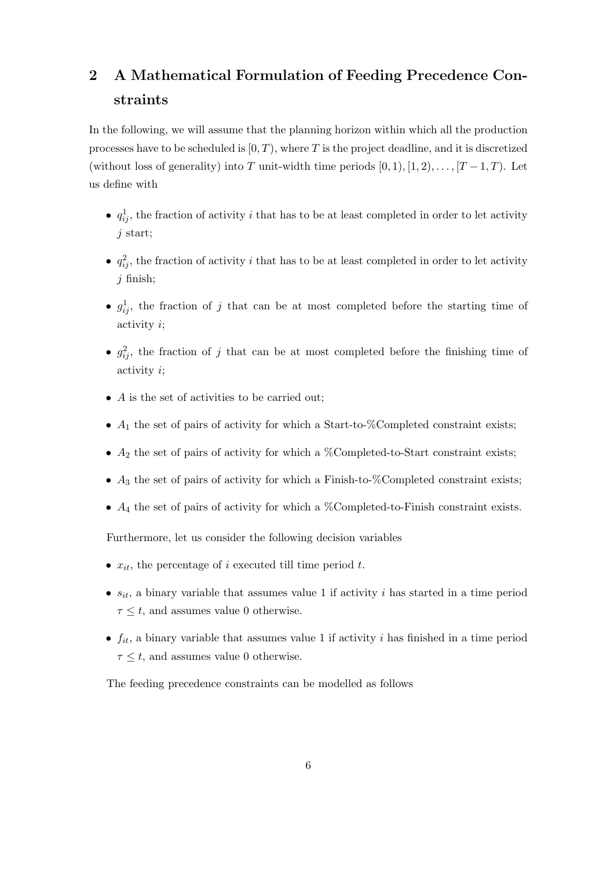# 2 A Mathematical Formulation of Feeding Precedence Constraints

In the following, we will assume that the planning horizon within which all the production processes have to be scheduled is  $[0, T)$ , where T is the project deadline, and it is discretized (without loss of generality) into T unit-width time periods  $[0, 1), [1, 2), \ldots, [T-1, T)$ . Let us define with

- $q_{ij}^1$ , the fraction of activity i that has to be at least completed in order to let activity j start;
- $q_{ij}^2$ , the fraction of activity i that has to be at least completed in order to let activity j finish;
- $g_{ij}^1$ , the fraction of j that can be at most completed before the starting time of activity i;
- $g_{ij}^2$ , the fraction of j that can be at most completed before the finishing time of activity i;
- A is the set of activities to be carried out:
- $A_1$  the set of pairs of activity for which a Start-to-%Completed constraint exists;
- $A_2$  the set of pairs of activity for which a %Completed-to-Start constraint exists;
- $A_3$  the set of pairs of activity for which a Finish-to-%Completed constraint exists;
- $A_4$  the set of pairs of activity for which a %Completed-to-Finish constraint exists.

Furthermore, let us consider the following decision variables

- $x_{it}$ , the percentage of i executed till time period t.
- $s_{it}$ , a binary variable that assumes value 1 if activity i has started in a time period  $\tau \leq t$ , and assumes value 0 otherwise.
- $f_{it}$ , a binary variable that assumes value 1 if activity i has finished in a time period  $\tau \leq t$ , and assumes value 0 otherwise.

The feeding precedence constraints can be modelled as follows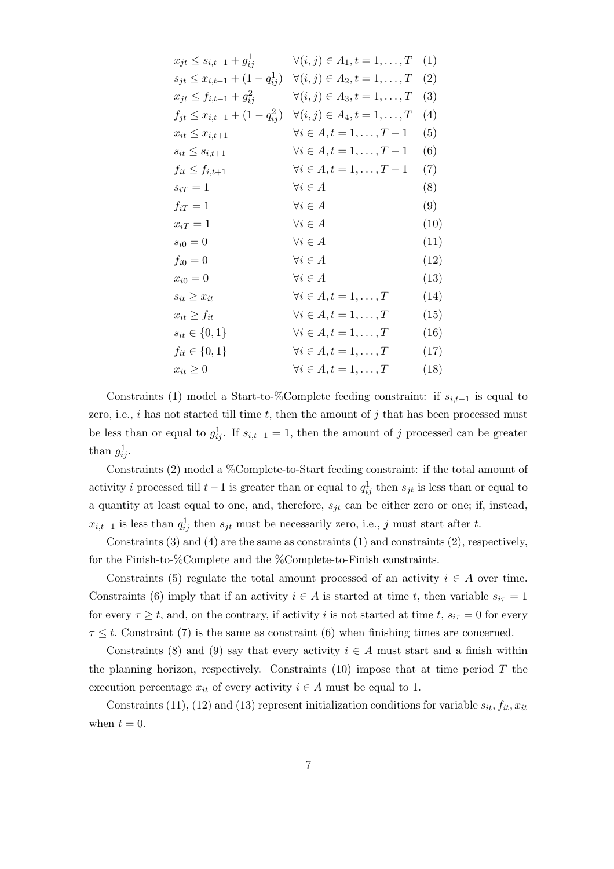| $x_{jt} \leq s_{i,t-1} + g_{ij}^1$       | $\forall (i, j) \in A_1, t = 1, \ldots, T$ | (1)  |
|------------------------------------------|--------------------------------------------|------|
| $s_{jt} \leq x_{i,t-1} + (1 - q_{ij}^1)$ | $\forall (i, j) \in A_2, t = 1, \ldots, T$ | (2)  |
| $x_{jt} \leq f_{i,t-1} + g_{ij}^2$       | $\forall (i, j) \in A_3, t = 1, \ldots, T$ | (3)  |
| $f_{jt} \leq x_{i,t-1} + (1 - q_{ij}^2)$ | $\forall (i, j) \in A_4, t = 1, \ldots, T$ | (4)  |
| $x_{it} \leq x_{i,t+1}$                  | $\forall i \in A, t = 1, \ldots, T-1$      | (5)  |
| $s_{it} \leq s_{i,t+1}$                  | $\forall i \in A, t = 1, \ldots, T-1$      | (6)  |
| $f_{it} \leq f_{i,t+1}$                  | $\forall i \in A, t = 1, \ldots, T-1$      | (7)  |
| $s_{iT}=1$                               | $\forall i \in A$                          | (8)  |
| $f_{iT}=1$                               | $\forall i \in A$                          | (9)  |
| $x_{iT} = 1$                             | $\forall i \in A$                          | (10) |
| $\sqrt{s_{i0}}=0$                        | $\forall i \in A$                          | (11) |
| $f_{i0}=0$                               | $\forall i \in A$                          | (12) |
| $x_{i0}=0$                               | $\forall i \in A$                          | (13) |
| $s_{it} \geq x_{it}$                     | $\forall i \in A, t = 1, \ldots, T$        | (14) |
| $x_{it} \geq f_{it}$                     | $\forall i \in A, t = 1, \ldots, T$        | (15) |
| $s_{it} \in \{0, 1\}$                    | $\forall i \in A, t = 1, \ldots, T$        | (16) |
| $f_{it} \in \{0, 1\}$                    | $\forall i \in A, t = 1, \ldots, T$        | (17) |
| $x_{it} \geq 0$                          | $\forall i \in A, t = 1, \ldots, T$        | (18) |
|                                          |                                            |      |

Constraints (1) model a Start-to-%Complete feeding constraint: if  $s_{i,t-1}$  is equal to zero, i.e., i has not started till time t, then the amount of j that has been processed must be less than or equal to  $g_{ij}^1$ . If  $s_{i,t-1} = 1$ , then the amount of j processed can be greater than  $g_{ij}^1$ .

Constraints (2) model a %Complete-to-Start feeding constraint: if the total amount of activity i processed till  $t-1$  is greater than or equal to  $q_{ij}^1$  then  $s_{jt}$  is less than or equal to a quantity at least equal to one, and, therefore,  $s_{jt}$  can be either zero or one; if, instead,  $x_{i,t-1}$  is less than  $q_{ij}^1$  then  $s_{jt}$  must be necessarily zero, i.e., j must start after t.

Constraints (3) and (4) are the same as constraints (1) and constraints (2), respectively, for the Finish-to-%Complete and the %Complete-to-Finish constraints.

Constraints (5) regulate the total amount processed of an activity  $i \in A$  over time. Constraints (6) imply that if an activity  $i \in A$  is started at time t, then variable  $s_{i\tau} = 1$ for every  $\tau \geq t$ , and, on the contrary, if activity i is not started at time t,  $s_{i\tau} = 0$  for every  $\tau \leq t$ . Constraint (7) is the same as constraint (6) when finishing times are concerned.

Constraints (8) and (9) say that every activity  $i \in A$  must start and a finish within the planning horizon, respectively. Constraints  $(10)$  impose that at time period T the execution percentage  $x_{it}$  of every activity  $i \in A$  must be equal to 1.

Constraints (11), (12) and (13) represent initialization conditions for variable  $s_{it}$ ,  $f_{it}$ ,  $x_{it}$ when  $t = 0$ .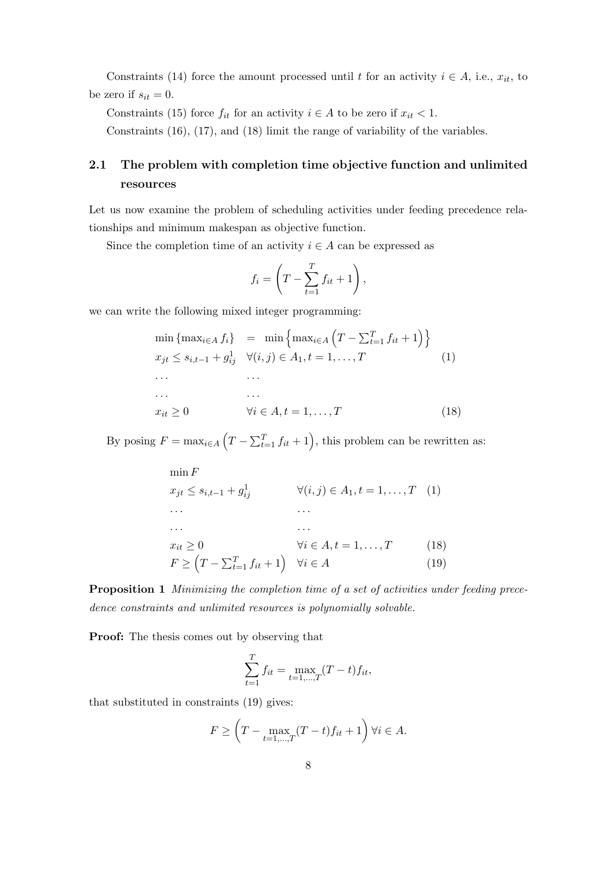Constraints (14) force the amount processed until t for an activity  $i \in A$ , i.e.,  $x_{it}$ , to be zero if  $s_{it} = 0$ .

Constraints (15) force  $f_{it}$  for an activity  $i \in A$  to be zero if  $x_{it} < 1$ .

Constraints (16), (17), and (18) limit the range of variability of the variables.

# 2.1 The problem with completion time objective function and unlimited resources

Let us now examine the problem of scheduling activities under feeding precedence relationships and minimum makespan as objective function.

Since the completion time of an activity  $i \in A$  can be expressed as

$$
f_i = \left(T - \sum_{t=1}^T f_{it} + 1\right),\,
$$

we can write the following mixed integer programming:

$$
\min \left\{ \max_{i \in A} f_i \right\} = \min \left\{ \max_{i \in A} \left( T - \sum_{t=1}^T f_{it} + 1 \right) \right\}
$$
\n
$$
x_{jt} \le s_{i,t-1} + g_{ij}^1 \quad \forall (i,j) \in A_1, t = 1, ..., T \quad (1)
$$
\n
$$
\dots \quad \dots \quad \dots
$$
\n
$$
x_{it} \ge 0 \quad \forall i \in A, t = 1, ..., T \quad (18)
$$

By posing  $F = \max_{i \in A} (T - \sum_{t=1}^T f_{it} + 1)$ , this problem can be rewritten as:

$$
\min F
$$
\n
$$
x_{jt} \le s_{i,t-1} + g_{ij}^1 \qquad \forall (i,j) \in A_1, t = 1, ..., T \quad (1)
$$
\n
$$
\dots
$$
\n
$$
\dots
$$
\n
$$
x_{it} \ge 0 \qquad \forall i \in A, t = 1, ..., T \quad (18)
$$
\n
$$
F \ge (T - \sum_{t=1}^T f_{it} + 1) \qquad \forall i \in A \quad (19)
$$

Proposition 1 Minimizing the completion time of a set of activities under feeding precedence constraints and unlimited resources is polynomially solvable.

Proof: The thesis comes out by observing that

$$
\sum_{t=1}^{T} f_{it} = \max_{t=1,\dots,T} (T-t) f_{it},
$$

that substituted in constraints (19) gives:

$$
F \ge \left(T - \max_{t=1,\dots,T} (T-t)f_{it} + 1\right) \forall i \in A.
$$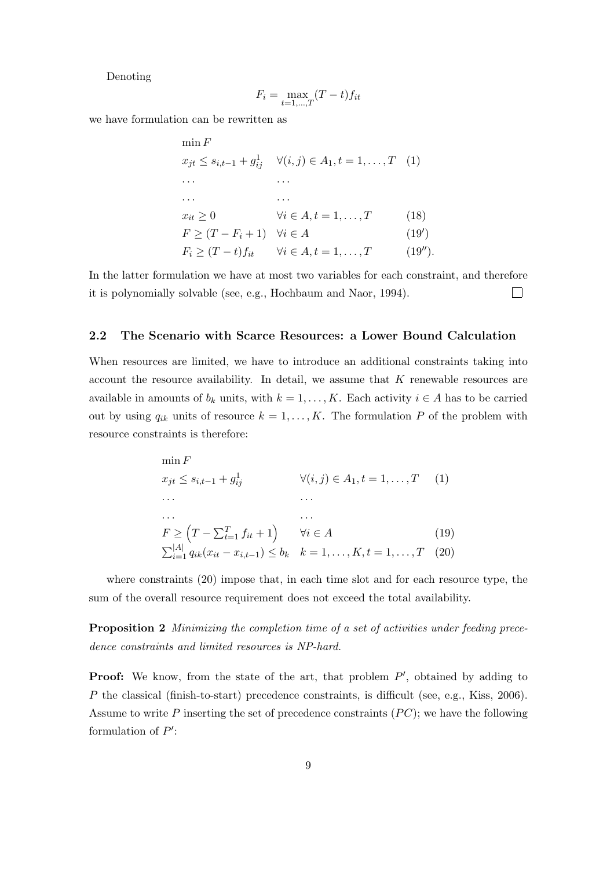Denoting

$$
F_i = \max_{t=1,\dots,T} (T-t)f_{it}
$$

we have formulation can be rewritten as

| min F                  |                                                                                            |            |
|------------------------|--------------------------------------------------------------------------------------------|------------|
|                        | $x_{jt} \leq s_{i,t-1} + g_{ij}^1 \quad \forall (i,j) \in A_1, t = 1, \ldots, T \quad (1)$ |            |
| .                      |                                                                                            |            |
|                        |                                                                                            |            |
| $x_{it} \geq 0$        | $\forall i \in A, t = 1, \ldots, T$                                                        | (18)       |
| $F \ge (T - F_i + 1)$  | $\forall i \in A$                                                                          | (19')      |
| $F_i \geq (T-t)f_{it}$ | $\forall i \in A, t = 1, \ldots, T$                                                        | $(19'')$ . |

In the latter formulation we have at most two variables for each constraint, and therefore it is polynomially solvable (see, e.g., Hochbaum and Naor, 1994).  $\Box$ 

#### 2.2 The Scenario with Scarce Resources: a Lower Bound Calculation

When resources are limited, we have to introduce an additional constraints taking into account the resource availability. In detail, we assume that K renewable resources are available in amounts of  $b_k$  units, with  $k = 1, ..., K$ . Each activity  $i \in A$  has to be carried out by using  $q_{ik}$  units of resource  $k = 1, ..., K$ . The formulation P of the problem with resource constraints is therefore:

$$
\min F
$$
\n
$$
x_{jt} \le s_{i,t-1} + g_{ij}^{1}
$$
\n
$$
\forall (i, j) \in A_{1}, t = 1, ..., T
$$
\n
$$
\dots
$$
\n
$$
\dots
$$
\n
$$
F \ge (T - \sum_{t=1}^{T} f_{it} + 1) \quad \forall i \in A
$$
\n
$$
\sum_{i=1}^{|A|} q_{ik}(x_{it} - x_{i,t-1}) \le b_{k} \quad k = 1, ..., K, t = 1, ..., T
$$
\n(19)

where constraints (20) impose that, in each time slot and for each resource type, the sum of the overall resource requirement does not exceed the total availability.

Proposition 2 Minimizing the completion time of a set of activities under feeding precedence constraints and limited resources is NP-hard.

**Proof:** We know, from the state of the art, that problem  $P'$ , obtained by adding to P the classical (finish-to-start) precedence constraints, is difficult (see, e.g., Kiss, 2006). Assume to write P inserting the set of precedence constraints  $(PC)$ ; we have the following formulation of  $P'$ :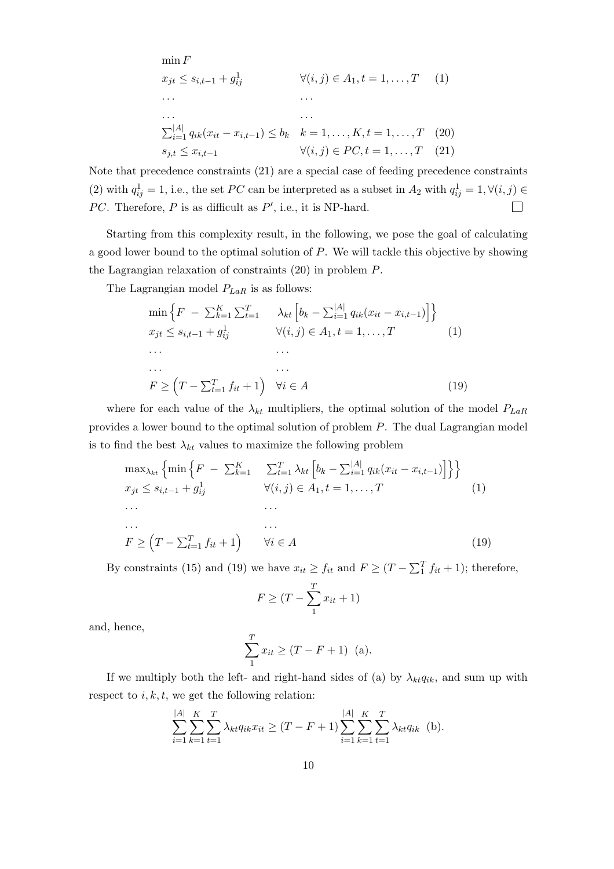$$
\min F
$$
\n
$$
x_{jt} \le s_{i,t-1} + g_{ij}^{1}
$$
\n
$$
\forall (i, j) \in A_{1}, t = 1, ..., T
$$
\n
$$
\dots
$$
\n
$$
\sum_{i=1}^{|A|} q_{ik}(x_{it} - x_{i,t-1}) \le b_{k} \quad k = 1, ..., K, t = 1, ..., T
$$
\n
$$
s_{j,t} \le x_{i,t-1}
$$
\n
$$
\forall (i, j) \in PC, t = 1, ..., T
$$
\n
$$
(20)
$$

Note that precedence constraints (21) are a special case of feeding precedence constraints (2) with  $q_{ij}^1 = 1$ , i.e., the set PC can be interpreted as a subset in  $A_2$  with  $q_{ij}^1 = 1, \forall (i, j) \in$ PC. Therefore, P is as difficult as  $P'$ , i.e., it is NP-hard.  $\Box$ 

Starting from this complexity result, in the following, we pose the goal of calculating a good lower bound to the optimal solution of P. We will tackle this objective by showing the Lagrangian relaxation of constraints (20) in problem P.

The Lagrangian model  $P_{LaR}$  is as follows:

$$
\min\left\{F - \sum_{k=1}^{K} \sum_{t=1}^{T} \lambda_{kt} \left[b_{k} - \sum_{i=1}^{|A|} q_{ik}(x_{it} - x_{i,t-1})\right]\right\}
$$
\n
$$
x_{jt} \le s_{i,t-1} + g_{ij}^{1} \qquad \forall (i,j) \in A_{1}, t = 1, ..., T \qquad (1)
$$
\n
$$
\dots \qquad \dots
$$
\n
$$
F \ge \left(T - \sum_{t=1}^{T} f_{it} + 1\right) \quad \forall i \in A \qquad (19)
$$

where for each value of the  $\lambda_{kt}$  multipliers, the optimal solution of the model  $P_{LaR}$ provides a lower bound to the optimal solution of problem P. The dual Lagrangian model is to find the best  $\lambda_{kt}$  values to maximize the following problem

$$
\max_{\lambda_{kt}} \left\{ \min \left\{ F \ - \ \sum_{k=1}^{K} \quad \sum_{t=1}^{T} \lambda_{kt} \left[ b_k - \sum_{i=1}^{|A|} q_{ik} (x_{it} - x_{i,t-1}) \right] \right\} \right\}
$$
\n
$$
x_{jt} \le s_{i,t-1} + g_{ij}^1 \qquad \forall (i,j) \in A_1, t = 1, ..., T \qquad (1)
$$
\n
$$
\dots \qquad \dots
$$
\n
$$
F \ge \left( T - \sum_{t=1}^{T} f_{it} + 1 \right) \qquad \forall i \in A \qquad (19)
$$

By constraints (15) and (19) we have  $x_{it} \ge f_{it}$  and  $F \ge (T - \sum_{i=1}^{T} f_{it} + 1)$ ; therefore,

$$
F \geq (T - \sum_{1}^{T} x_{it} + 1)
$$

and, hence,

$$
\sum_{1}^{T} x_{it} \ge (T - F + 1) \text{ (a)}.
$$

If we multiply both the left- and right-hand sides of (a) by  $\lambda_{kt}q_{ik}$ , and sum up with respect to  $i, k, t$ , we get the following relation:

$$
\sum_{i=1}^{|A|} \sum_{k=1}^{K} \sum_{t=1}^{T} \lambda_{kt} q_{ik} x_{it} \ge (T - F + 1) \sum_{i=1}^{|A|} \sum_{k=1}^{K} \sum_{t=1}^{T} \lambda_{kt} q_{ik} \quad \text{(b)}.
$$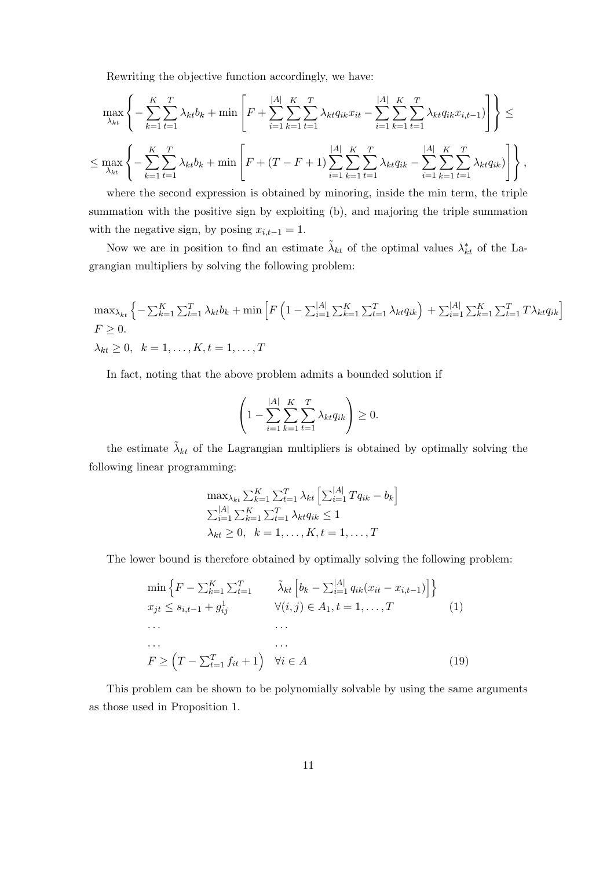Rewriting the objective function accordingly, we have:

$$
\max_{\lambda_{kt}} \left\{ -\sum_{k=1}^{K} \sum_{t=1}^{T} \lambda_{kt} b_k + \min \left[ F + \sum_{i=1}^{|A|} \sum_{k=1}^{K} \sum_{t=1}^{T} \lambda_{kt} q_{ik} x_{it} - \sum_{i=1}^{|A|} \sum_{k=1}^{K} \sum_{t=1}^{T} \lambda_{kt} q_{ik} x_{i,t-1} \right) \right] \right\} \le
$$
  

$$
\leq \max_{\lambda_{kt}} \left\{ -\sum_{k=1}^{K} \sum_{t=1}^{T} \lambda_{kt} b_k + \min \left[ F + (T - F + 1) \sum_{i=1}^{|A|} \sum_{k=1}^{K} \sum_{t=1}^{T} \lambda_{kt} q_{ik} - \sum_{i=1}^{|A|} \sum_{k=1}^{K} \sum_{t=1}^{T} \lambda_{kt} q_{ik} \right) \right\},
$$

where the second expression is obtained by minoring, inside the min term, the triple summation with the positive sign by exploiting (b), and majoring the triple summation with the negative sign, by posing  $x_{i,t-1} = 1$ .

Now we are in position to find an estimate  $\tilde{\lambda}_{kt}$  of the optimal values  $\lambda_{kt}^*$  of the Lagrangian multipliers by solving the following problem:

$$
\max_{\lambda_{kt}} \left\{ -\sum_{k=1}^{K} \sum_{t=1}^{T} \lambda_{kt} b_k + \min \left[ F \left( 1 - \sum_{i=1}^{|A|} \sum_{k=1}^{K} \sum_{t=1}^{T} \lambda_{kt} q_{ik} \right) + \sum_{i=1}^{|A|} \sum_{k=1}^{K} \sum_{t=1}^{T} T \lambda_{kt} q_{ik} \right] \right\}
$$
  
\n
$$
F \ge 0, \quad k = 1, \dots, K, t = 1, \dots, T
$$

In fact, noting that the above problem admits a bounded solution if

$$
\left(1 - \sum_{i=1}^{|A|} \sum_{k=1}^{K} \sum_{t=1}^{T} \lambda_{kt} q_{ik}\right) \ge 0.
$$

the estimate  $\tilde{\lambda}_{kt}$  of the Lagrangian multipliers is obtained by optimally solving the following linear programming:

$$
\max_{\lambda_{kt}} \sum_{k=1}^{K} \sum_{t=1}^{T} \lambda_{kt} \left[ \sum_{i=1}^{|A|} T q_{ik} - b_k \right]
$$
  

$$
\sum_{i=1}^{|A|} \sum_{k=1}^{K} \sum_{t=1}^{T} \lambda_{kt} q_{ik} \le 1
$$
  

$$
\lambda_{kt} \ge 0, \quad k = 1, ..., K, t = 1, ..., T
$$

The lower bound is therefore obtained by optimally solving the following problem:

$$
\min \left\{ F - \sum_{k=1}^{K} \sum_{t=1}^{T} \tilde{\lambda}_{kt} \left[ b_k - \sum_{i=1}^{|A|} q_{ik} (x_{it} - x_{i,t-1}) \right] \right\}
$$
\n
$$
x_{jt} \le s_{i,t-1} + g_{ij}^1 \qquad \forall (i, j) \in A_1, t = 1, ..., T \qquad (1)
$$
\n
$$
\dots \qquad \dots
$$
\n
$$
F \ge (T - \sum_{t=1}^{T} f_{it} + 1) \quad \forall i \in A \qquad (19)
$$

This problem can be shown to be polynomially solvable by using the same arguments as those used in Proposition 1.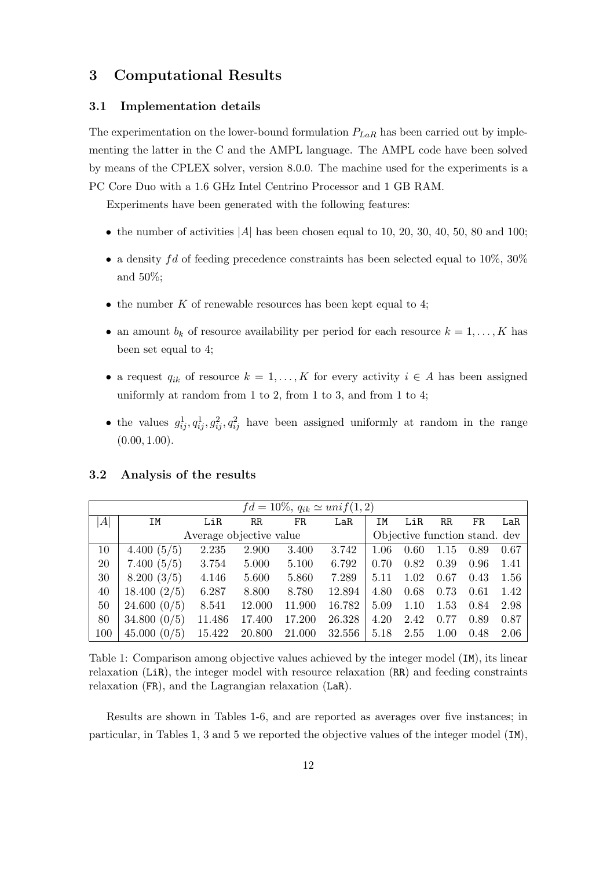## 3 Computational Results

#### 3.1 Implementation details

The experimentation on the lower-bound formulation  $P_{LaR}$  has been carried out by implementing the latter in the C and the AMPL language. The AMPL code have been solved by means of the CPLEX solver, version 8.0.0. The machine used for the experiments is a PC Core Duo with a 1.6 GHz Intel Centrino Processor and 1 GB RAM.

Experiments have been generated with the following features:

- the number of activities  $|A|$  has been chosen equal to 10, 20, 30, 40, 50, 80 and 100;
- a density fd of feeding precedence constraints has been selected equal to  $10\%$ ,  $30\%$ and 50%;
- $\bullet$  the number K of renewable resources has been kept equal to 4;
- an amount  $b_k$  of resource availability per period for each resource  $k = 1, \ldots, K$  has been set equal to 4;
- a request  $q_{ik}$  of resource  $k = 1, ..., K$  for every activity  $i \in A$  has been assigned uniformly at random from 1 to 2, from 1 to 3, and from 1 to 4;
- the values  $g_{ij}^1, g_{ij}^1, g_{ij}^2, g_{ij}^2$  have been assigned uniformly at random in the range  $(0.00, 1.00)$ .

### 3.2 Analysis of the results

| $fd = 10\%, q_{ik} \simeq unif(1,2)$ |              |                         |        |        |        |      |                               |             |      |      |
|--------------------------------------|--------------|-------------------------|--------|--------|--------|------|-------------------------------|-------------|------|------|
| A                                    | IM           | LiR                     | RR     | FR     | LaR    | ΙM   | LiR                           | $_{\rm RR}$ | FR   | LaR  |
|                                      |              | Average objective value |        |        |        |      | Objective function stand. dev |             |      |      |
| 10                                   | 4.400(5/5)   | 2.235                   | 2.900  | 3.400  | 3.742  | 1.06 | 0.60                          | 1.15        | 0.89 | 0.67 |
| 20                                   | 7.400(5/5)   | 3.754                   | 5.000  | 5.100  | 6.792  | 0.70 | 0.82                          | 0.39        | 0.96 | 1.41 |
| 30                                   | 8.200(3/5)   | 4.146                   | 5.600  | 5.860  | 7.289  | 5.11 | 1.02                          | 0.67        | 0.43 | 1.56 |
| 40                                   | 18.400(2/5)  | 6.287                   | 8.800  | 8.780  | 12.894 | 4.80 | 0.68                          | 0.73        | 0.61 | 1.42 |
| 50                                   | 24.600~(0/5) | 8.541                   | 12.000 | 11.900 | 16.782 | 5.09 | 1.10                          | 1.53        | 0.84 | 2.98 |
| 80                                   | 34.800(0/5)  | 11.486                  | 17.400 | 17.200 | 26.328 | 4.20 | 2.42                          | 0.77        | 0.89 | 0.87 |
| 100                                  | 45.000~(0/5) | 15.422                  | 20.800 | 21.000 | 32.556 | 5.18 | 2.55                          | 1.00        | 0.48 | 2.06 |

Table 1: Comparison among objective values achieved by the integer model (IM), its linear relaxation (LiR), the integer model with resource relaxation (RR) and feeding constraints relaxation (FR), and the Lagrangian relaxation (LaR).

Results are shown in Tables 1-6, and are reported as averages over five instances; in particular, in Tables 1, 3 and 5 we reported the objective values of the integer model (IM),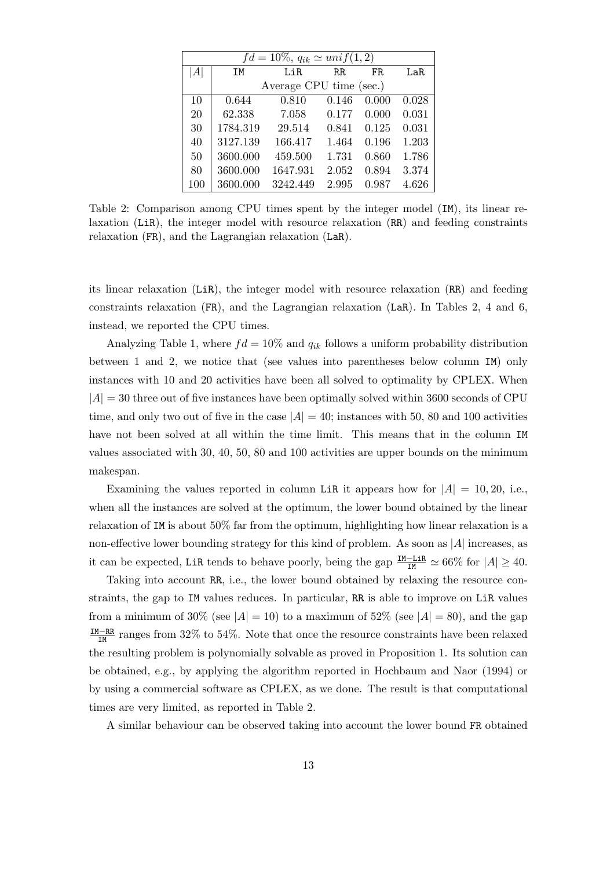| $fd = 10\%, q_{ik} \simeq unif(1,2)$ |          |                         |             |       |       |  |  |  |  |  |  |
|--------------------------------------|----------|-------------------------|-------------|-------|-------|--|--|--|--|--|--|
| A                                    | ΙM       | LiR                     | $_{\rm RR}$ | FR.   | LaR.  |  |  |  |  |  |  |
|                                      |          | Average CPU time (sec.) |             |       |       |  |  |  |  |  |  |
| 10                                   | 0.644    | 0.810                   | 0.146       | 0.000 | 0.028 |  |  |  |  |  |  |
| 20                                   | 62.338   | 7.058                   | 0.177       | 0.000 | 0.031 |  |  |  |  |  |  |
| 30                                   | 1784.319 | 29.514                  | 0.841       | 0.125 | 0.031 |  |  |  |  |  |  |
| 40                                   | 3127.139 | 166.417                 | 1.464       | 0.196 | 1.203 |  |  |  |  |  |  |
| 50                                   | 3600.000 | 459.500                 | 1.731       | 0.860 | 1.786 |  |  |  |  |  |  |
| 80                                   | 3600.000 | 1647.931                | 2.052       | 0.894 | 3.374 |  |  |  |  |  |  |
| 100                                  | 3600.000 | 3242.449                | 2.995       | 0.987 | 4.626 |  |  |  |  |  |  |

Table 2: Comparison among CPU times spent by the integer model (IM), its linear relaxation (LiR), the integer model with resource relaxation (RR) and feeding constraints relaxation (FR), and the Lagrangian relaxation (LaR).

its linear relaxation (LiR), the integer model with resource relaxation (RR) and feeding constraints relaxation (FR), and the Lagrangian relaxation (LaR). In Tables 2, 4 and 6, instead, we reported the CPU times.

Analyzing Table 1, where  $fd = 10\%$  and  $q_{ik}$  follows a uniform probability distribution between 1 and 2, we notice that (see values into parentheses below column IM) only instances with 10 and 20 activities have been all solved to optimality by CPLEX. When  $|A| = 30$  three out of five instances have been optimally solved within 3600 seconds of CPU time, and only two out of five in the case  $|A| = 40$ ; instances with 50, 80 and 100 activities have not been solved at all within the time limit. This means that in the column IM values associated with 30, 40, 50, 80 and 100 activities are upper bounds on the minimum makespan.

Examining the values reported in column LiR it appears how for  $|A| = 10, 20$ , i.e., when all the instances are solved at the optimum, the lower bound obtained by the linear relaxation of IM is about 50% far from the optimum, highlighting how linear relaxation is a non-effective lower bounding strategy for this kind of problem. As soon as  $|A|$  increases, as it can be expected, LiR tends to behave poorly, being the gap  $\frac{IM-LiR}{IM} \simeq 66\%$  for  $|A| \geq 40$ .

Taking into account RR, i.e., the lower bound obtained by relaxing the resource constraints, the gap to IM values reduces. In particular, RR is able to improve on LiR values from a minimum of 30% (see  $|A| = 10$ ) to a maximum of 52% (see  $|A| = 80$ ), and the gap  $\frac{IM-RR}{IM}$  ranges from 32% to 54%. Note that once the resource constraints have been relaxed the resulting problem is polynomially solvable as proved in Proposition 1. Its solution can be obtained, e.g., by applying the algorithm reported in Hochbaum and Naor (1994) or by using a commercial software as CPLEX, as we done. The result is that computational times are very limited, as reported in Table 2.

A similar behaviour can be observed taking into account the lower bound FR obtained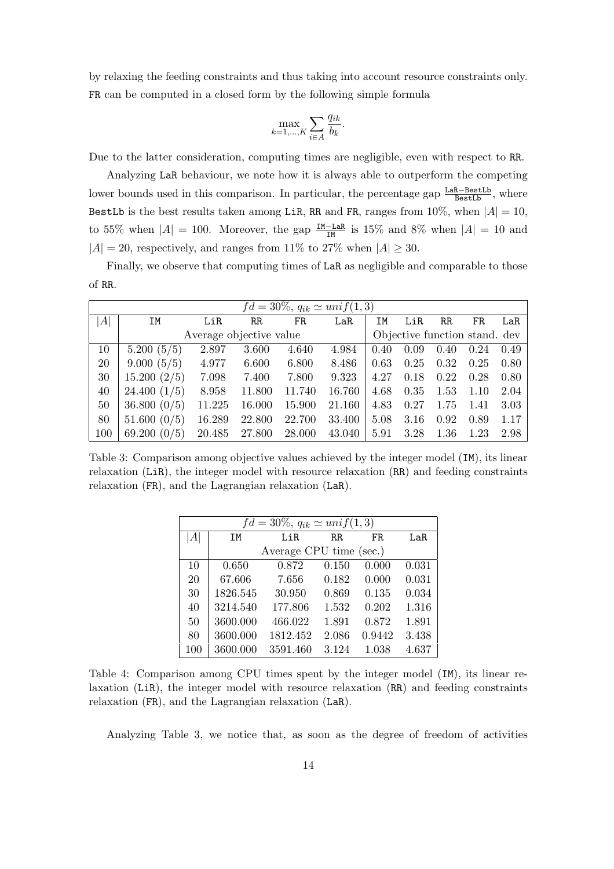by relaxing the feeding constraints and thus taking into account resource constraints only. FR can be computed in a closed form by the following simple formula

$$
\max_{k=1,\ldots,K} \sum_{i \in A} \frac{q_{ik}}{b_k}.
$$

Due to the latter consideration, computing times are negligible, even with respect to RR.

Analyzing LaR behaviour, we note how it is always able to outperform the competing lower bounds used in this comparison. In particular, the percentage gap  $\frac{\text{LaR}-\text{BestLb}}{\text{BestLb}}$ , where BestLb is the best results taken among LiR, RR and FR, ranges from  $10\%$ , when  $|A| = 10$ , to 55% when  $|A| = 100$ . Moreover, the gap  $\frac{IM-LaR}{IM}$  is 15% and 8% when  $|A| = 10$  and  $|A| = 20$ , respectively, and ranges from 11% to 27% when  $|A| \geq 30$ .

Finally, we observe that computing times of LaR as negligible and comparable to those of RR.

| $fd = 30\%, q_{ik} \simeq unif(1,3)$ |              |        |                         |        |        |      |                               |             |      |      |
|--------------------------------------|--------------|--------|-------------------------|--------|--------|------|-------------------------------|-------------|------|------|
| A                                    | ΙM           | LiR    | RR                      | FR     | LaR    | ΙM   | LiR                           | $_{\rm RR}$ | FR   | LaR  |
|                                      |              |        | Average objective value |        |        |      | Objective function stand. dev |             |      |      |
| 10                                   | 5.200(5/5)   | 2.897  | 3.600                   | 4.640  | 4.984  | 0.40 | 0.09                          | 0.40        | 0.24 | 0.49 |
| 20                                   | 9.000(5/5)   | 4.977  | 6.600                   | 6.800  | 8.486  | 0.63 | 0.25                          | 0.32        | 0.25 | 0.80 |
| 30                                   | 15.200(2/5)  | 7.098  | 7.400                   | 7.800  | 9.323  | 4.27 | 0.18                          | 0.22        | 0.28 | 0.80 |
| 40                                   | 24.400(1/5)  | 8.958  | 11.800                  | 11.740 | 16.760 | 4.68 | 0.35                          | 1.53        | 1.10 | 2.04 |
| 50                                   | 36.800(0/5)  | 11.225 | 16.000                  | 15.900 | 21.160 | 4.83 | 0.27                          | 1.75        | 1.41 | 3.03 |
| 80                                   | 51.600~(0/5) | 16.289 | 22.800                  | 22.700 | 33.400 | 5.08 | 3.16                          | 0.92        | 0.89 | 1.17 |
| 100                                  | 69.200(0/5)  | 20.485 | 27.800                  | 28.000 | 43.040 | 5.91 | 3.28                          | 1.36        | 1.23 | 2.98 |

Table 3: Comparison among objective values achieved by the integer model (IM), its linear relaxation (LiR), the integer model with resource relaxation (RR) and feeding constraints relaxation (FR), and the Lagrangian relaxation (LaR).

| $fd = 30\%, q_{ik} \simeq unif(1,3)$ |                         |          |       |        |       |  |  |  |  |  |
|--------------------------------------|-------------------------|----------|-------|--------|-------|--|--|--|--|--|
| A                                    | ΙM                      | LiR      | RR.   | FR.    | LaR.  |  |  |  |  |  |
|                                      | Average CPU time (sec.) |          |       |        |       |  |  |  |  |  |
| 10                                   | 0.650                   | 0.872    | 0.150 | 0.000  | 0.031 |  |  |  |  |  |
| 20                                   | 67.606                  | 7.656    | 0.182 | 0.000  | 0.031 |  |  |  |  |  |
| 30                                   | 1826.545                | 30.950   | 0.869 | 0.135  | 0.034 |  |  |  |  |  |
| 40                                   | 3214.540                | 177.806  | 1.532 | 0.202  | 1.316 |  |  |  |  |  |
| 50                                   | 3600.000                | 466.022  | 1.891 | 0.872  | 1.891 |  |  |  |  |  |
| 80                                   | 3600.000                | 1812.452 | 2.086 | 0.9442 | 3.438 |  |  |  |  |  |
| 100                                  | 3600.000                | 3591.460 | 3.124 | 1.038  | 4.637 |  |  |  |  |  |

Table 4: Comparison among CPU times spent by the integer model (IM), its linear relaxation (LiR), the integer model with resource relaxation (RR) and feeding constraints relaxation (FR), and the Lagrangian relaxation (LaR).

Analyzing Table 3, we notice that, as soon as the degree of freedom of activities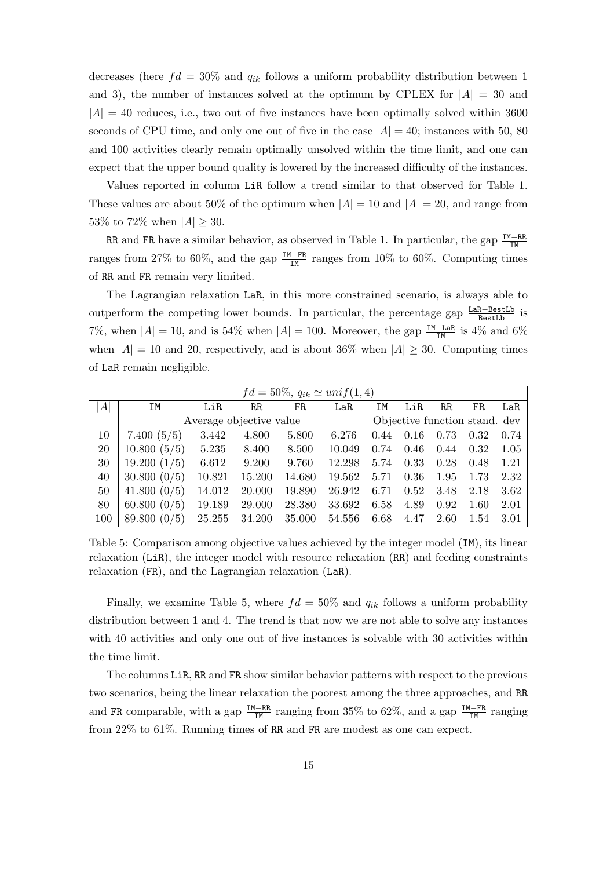decreases (here  $fd = 30\%$  and  $q_{ik}$  follows a uniform probability distribution between 1 and 3), the number of instances solved at the optimum by CPLEX for  $|A| = 30$  and  $|A| = 40$  reduces, i.e., two out of five instances have been optimally solved within 3600 seconds of CPU time, and only one out of five in the case  $|A| = 40$ ; instances with 50, 80 and 100 activities clearly remain optimally unsolved within the time limit, and one can expect that the upper bound quality is lowered by the increased difficulty of the instances.

Values reported in column LiR follow a trend similar to that observed for Table 1. These values are about 50% of the optimum when  $|A| = 10$  and  $|A| = 20$ , and range from 53\% to 72\% when  $|A| > 30$ .

RR and FR have a similar behavior, as observed in Table 1. In particular, the gap  $\frac{IM-RR}{IM}$ ranges from 27% to 60%, and the gap  $\frac{IM-FR}{IM}$  ranges from 10% to 60%. Computing times of RR and FR remain very limited.

The Lagrangian relaxation LaR, in this more constrained scenario, is always able to outperform the competing lower bounds. In particular, the percentage gap  $\frac{LaR-BestLb}{BestLb}$  is 7%, when  $|A| = 10$ , and is 54% when  $|A| = 100$ . Moreover, the gap  $\frac{IM-LaR}{IM}$  is 4% and 6% when  $|A| = 10$  and 20, respectively, and is about 36% when  $|A| \geq 30$ . Computing times of LaR remain negligible.

| $fd = 50\%, q_{ik} \simeq unif(1,4)$ |                |                         |        |        |        |      |      |                               |      |      |
|--------------------------------------|----------------|-------------------------|--------|--------|--------|------|------|-------------------------------|------|------|
| A                                    | ΙM             | LiR                     | RR     | FR.    | LaR    | ΙM   | LiR  | RR                            | FR   | LaR  |
|                                      |                | Average objective value |        |        |        |      |      | Objective function stand. dev |      |      |
| 10                                   | 7.400 $(5/5)$  | 3.442                   | 4.800  | 5.800  | 6.276  | 0.44 | 0.16 | 0.73                          | 0.32 | 0.74 |
| 20                                   | 10.800(5/5)    | 5.235                   | 8.400  | 8.500  | 10.049 | 0.74 | 0.46 | 0.44                          | 0.32 | 1.05 |
| 30                                   | 19.200(1/5)    | 6.612                   | 9.200  | 9.760  | 12.298 | 5.74 | 0.33 | 0.28                          | 0.48 | 1.21 |
| 40                                   | 30.800~(0/5)   | 10.821                  | 15.200 | 14.680 | 19.562 | 5.71 | 0.36 | 1.95                          | 1.73 | 2.32 |
| 50                                   | 41.800 $(0/5)$ | 14.012                  | 20.000 | 19.890 | 26.942 | 6.71 | 0.52 | 3.48                          | 2.18 | 3.62 |
| 80                                   | 60.800(0/5)    | 19.189                  | 29.000 | 28.380 | 33.692 | 6.58 | 4.89 | 0.92                          | 1.60 | 2.01 |
| 100                                  | 89.800(0/5)    | 25.255                  | 34.200 | 35.000 | 54.556 | 6.68 | 4.47 | 2.60                          | 1.54 | 3.01 |

Table 5: Comparison among objective values achieved by the integer model (IM), its linear relaxation (LiR), the integer model with resource relaxation (RR) and feeding constraints relaxation (FR), and the Lagrangian relaxation (LaR).

Finally, we examine Table 5, where  $fd = 50\%$  and  $q_{ik}$  follows a uniform probability distribution between 1 and 4. The trend is that now we are not able to solve any instances with 40 activities and only one out of five instances is solvable with 30 activities within the time limit.

The columns LiR, RR and FR show similar behavior patterns with respect to the previous two scenarios, being the linear relaxation the poorest among the three approaches, and RR and FR comparable, with a gap  $\frac{IM-RR}{IM}$  ranging from 35% to 62%, and a gap  $\frac{IM-FR}{IM}$  ranging from 22% to 61%. Running times of RR and FR are modest as one can expect.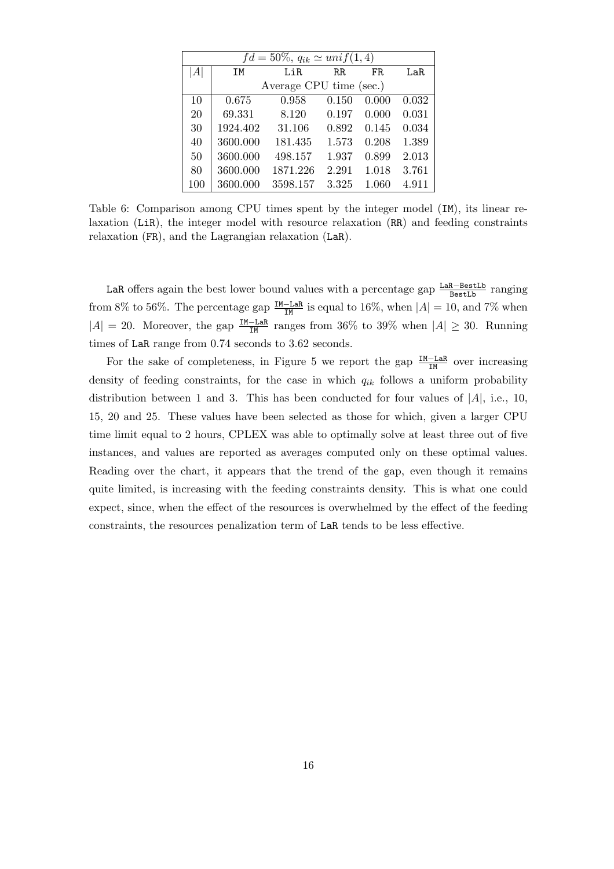| $fd = 50\%, q_{ik} \simeq unif(1,4)$ |          |                         |             |       |       |  |  |  |  |  |
|--------------------------------------|----------|-------------------------|-------------|-------|-------|--|--|--|--|--|
| A                                    | ΙM       | LiR                     | $_{\rm RR}$ | FR.   | LaR.  |  |  |  |  |  |
|                                      |          | Average CPU time (sec.) |             |       |       |  |  |  |  |  |
| 10                                   | 0.675    | 0.958                   | 0.150       | 0.000 | 0.032 |  |  |  |  |  |
| 20                                   | 69.331   | 8.120                   | 0.197       | 0.000 | 0.031 |  |  |  |  |  |
| 30                                   | 1924.402 | 31.106                  | 0.892       | 0.145 | 0.034 |  |  |  |  |  |
| 40                                   | 3600.000 | 181.435                 | 1.573       | 0.208 | 1.389 |  |  |  |  |  |
| 50                                   | 3600.000 | 498.157                 | 1.937       | 0.899 | 2.013 |  |  |  |  |  |
| 80                                   | 3600.000 | 1871.226                | 2.291       | 1.018 | 3.761 |  |  |  |  |  |
| 100                                  | 3600.000 | 3598.157                | 3.325       | 1.060 | 4.911 |  |  |  |  |  |

Table 6: Comparison among CPU times spent by the integer model (IM), its linear relaxation (LiR), the integer model with resource relaxation (RR) and feeding constraints relaxation (FR), and the Lagrangian relaxation (LaR).

LaR offers again the best lower bound values with a percentage gap  $\frac{\text{LaR}-\text{BestLb}}{\text{BestLb}}$  ranging from 8% to 56%. The percentage gap  $\frac{IM-LaR}{IM}$  is equal to 16%, when  $|A| = 10$ , and 7% when  $|A| = 20$ . Moreover, the gap  $\frac{IM-LaR}{IM}$  ranges from 36% to 39% when  $|A| \geq 30$ . Running times of LaR range from 0.74 seconds to 3.62 seconds.

For the sake of completeness, in Figure 5 we report the gap  $\frac{IM-LaR}{IM}$  over increasing density of feeding constraints, for the case in which  $q_{ik}$  follows a uniform probability distribution between 1 and 3. This has been conducted for four values of  $|A|$ , i.e., 10, 15, 20 and 25. These values have been selected as those for which, given a larger CPU time limit equal to 2 hours, CPLEX was able to optimally solve at least three out of five instances, and values are reported as averages computed only on these optimal values. Reading over the chart, it appears that the trend of the gap, even though it remains quite limited, is increasing with the feeding constraints density. This is what one could expect, since, when the effect of the resources is overwhelmed by the effect of the feeding constraints, the resources penalization term of LaR tends to be less effective.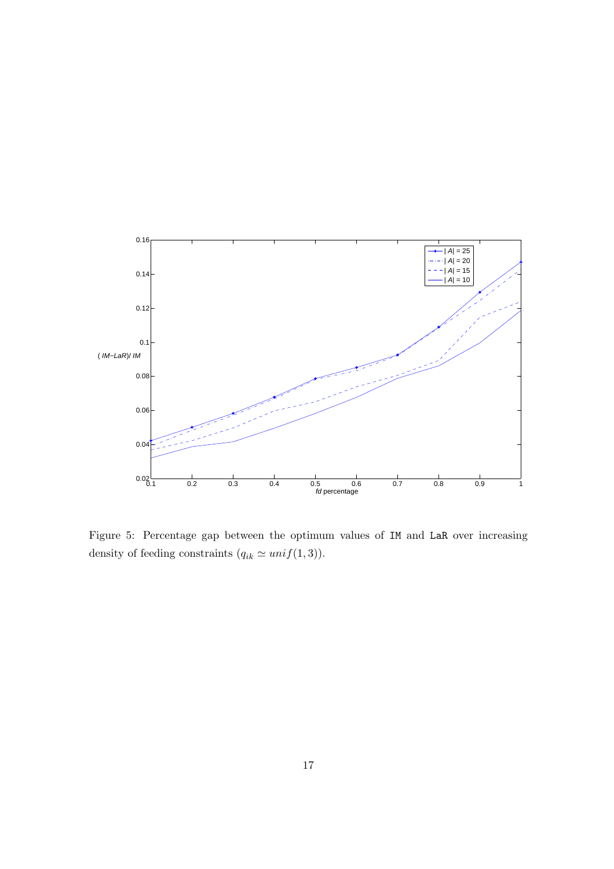

Figure 5: Percentage gap between the optimum values of IM and LaR over increasing density of feeding constraints  $(q_{ik} \simeq unif(1,3)).$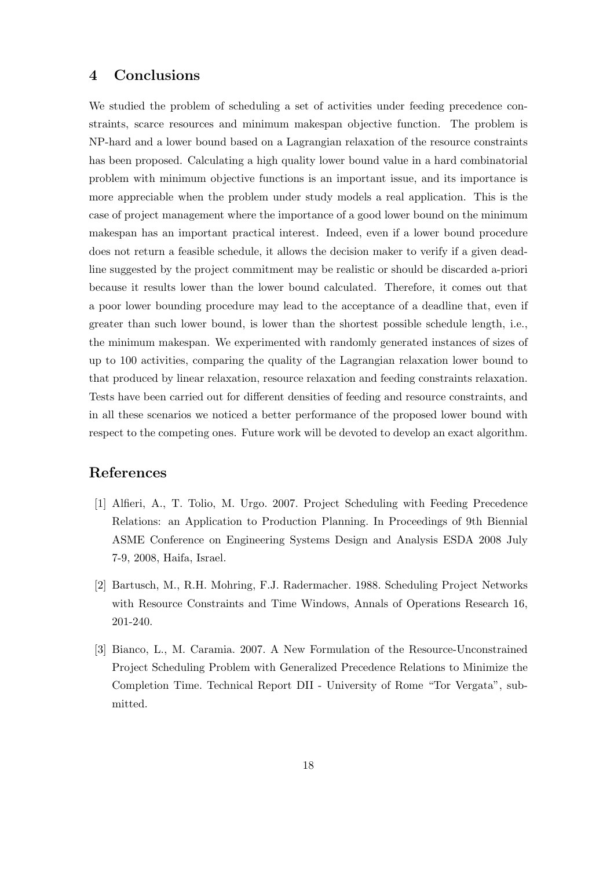# 4 Conclusions

We studied the problem of scheduling a set of activities under feeding precedence constraints, scarce resources and minimum makespan objective function. The problem is NP-hard and a lower bound based on a Lagrangian relaxation of the resource constraints has been proposed. Calculating a high quality lower bound value in a hard combinatorial problem with minimum objective functions is an important issue, and its importance is more appreciable when the problem under study models a real application. This is the case of project management where the importance of a good lower bound on the minimum makespan has an important practical interest. Indeed, even if a lower bound procedure does not return a feasible schedule, it allows the decision maker to verify if a given deadline suggested by the project commitment may be realistic or should be discarded a-priori because it results lower than the lower bound calculated. Therefore, it comes out that a poor lower bounding procedure may lead to the acceptance of a deadline that, even if greater than such lower bound, is lower than the shortest possible schedule length, i.e., the minimum makespan. We experimented with randomly generated instances of sizes of up to 100 activities, comparing the quality of the Lagrangian relaxation lower bound to that produced by linear relaxation, resource relaxation and feeding constraints relaxation. Tests have been carried out for different densities of feeding and resource constraints, and in all these scenarios we noticed a better performance of the proposed lower bound with respect to the competing ones. Future work will be devoted to develop an exact algorithm.

# References

- [1] Alfieri, A., T. Tolio, M. Urgo. 2007. Project Scheduling with Feeding Precedence Relations: an Application to Production Planning. In Proceedings of 9th Biennial ASME Conference on Engineering Systems Design and Analysis ESDA 2008 July 7-9, 2008, Haifa, Israel.
- [2] Bartusch, M., R.H. Mohring, F.J. Radermacher. 1988. Scheduling Project Networks with Resource Constraints and Time Windows, Annals of Operations Research 16, 201-240.
- [3] Bianco, L., M. Caramia. 2007. A New Formulation of the Resource-Unconstrained Project Scheduling Problem with Generalized Precedence Relations to Minimize the Completion Time. Technical Report DII - University of Rome "Tor Vergata", submitted.